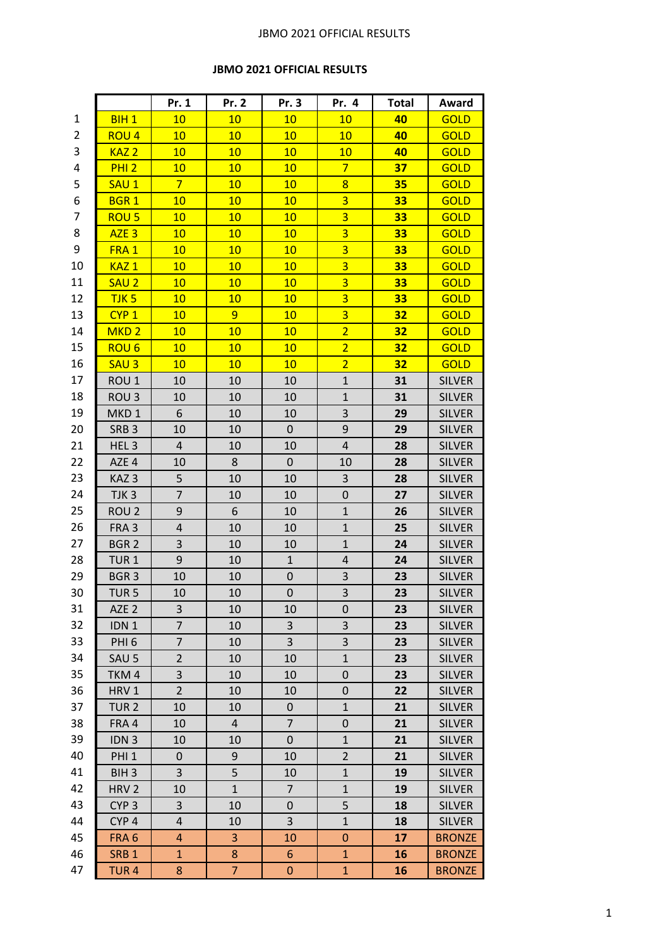## JBMO 2021 OFFICIAL RESULTS

## **JBMO 2021 OFFICIAL RESULTS**

|    |                  | Pr. 1                   | Pr. 2        | Pr. 3          | Pr. 4                   | <b>Total</b> | Award         |
|----|------------------|-------------------------|--------------|----------------|-------------------------|--------------|---------------|
| 1  | BIH <sub>1</sub> | 10                      | 10           | 10             | 10                      | 40           | <b>GOLD</b>   |
| 2  | ROU <sub>4</sub> | 10                      | 10           | 10             | 10                      | 40           | <b>GOLD</b>   |
| 3  | KAZ <sub>2</sub> | 10                      | 10           | 10             | 10                      | 40           | <b>GOLD</b>   |
| 4  | <b>PHI 2</b>     | 10                      | 10           | 10             | $\overline{7}$          | 37           | <b>GOLD</b>   |
| 5  | SAU <sub>1</sub> | $\overline{7}$          | 10           | 10             | 8                       | 35           | <b>GOLD</b>   |
| 6  | <b>BGR1</b>      | 10                      | 10           | 10             | $\overline{\mathbf{3}}$ | 33           | <b>GOLD</b>   |
| 7  | ROU <sub>5</sub> | 10                      | 10           | 10             | $\overline{3}$          | 33           | <b>GOLD</b>   |
| 8  | AZE <sub>3</sub> | 10                      | 10           | 10             | $\overline{3}$          | 33           | <b>GOLD</b>   |
| 9  | FRA <sub>1</sub> | 10                      | 10           | 10             | $\overline{3}$          | 33           | <b>GOLD</b>   |
| 10 | KAZ <sub>1</sub> | 10                      | 10           | 10             | $\overline{3}$          | 33           | <b>GOLD</b>   |
| 11 | SAU <sub>2</sub> | 10                      | 10           | 10             | 3                       | 33           | <b>GOLD</b>   |
| 12 | TJK <sub>5</sub> | 10                      | 10           | 10             | $\overline{\mathbf{3}}$ | 33           | <b>GOLD</b>   |
| 13 | CYP <sub>1</sub> | 10                      | 9            | 10             | 3                       | 32           | <b>GOLD</b>   |
| 14 | MKD <sub>2</sub> | 10                      | 10           | 10             | $\overline{2}$          | 32           | <b>GOLD</b>   |
| 15 | ROU <sub>6</sub> | 10                      | 10           | 10             | $\overline{2}$          | 32           | <b>GOLD</b>   |
| 16 | SAU <sub>3</sub> | 10                      | 10           | 10             | $\overline{2}$          | 32           | <b>GOLD</b>   |
| 17 | ROU <sub>1</sub> | 10                      | 10           | 10             | $\mathbf{1}$            | 31           | <b>SILVER</b> |
| 18 | ROU <sub>3</sub> | 10                      | 10           | 10             | $\mathbf{1}$            | 31           | <b>SILVER</b> |
| 19 | MKD <sub>1</sub> | 6                       | 10           | 10             | 3                       | 29           | <b>SILVER</b> |
| 20 | SRB <sub>3</sub> | 10                      | 10           | $\pmb{0}$      | $\boldsymbol{9}$        | 29           | <b>SILVER</b> |
| 21 | HEL <sub>3</sub> | 4                       | 10           | 10             | $\overline{4}$          | 28           | <b>SILVER</b> |
| 22 | AZE 4            | 10                      | 8            | $\pmb{0}$      | 10                      | 28           | <b>SILVER</b> |
| 23 | KAZ <sub>3</sub> | 5                       | 10           | 10             | $\mathbf{3}$            | 28           | <b>SILVER</b> |
| 24 | TJK <sub>3</sub> | $\overline{7}$          | 10           | 10             | $\pmb{0}$               | 27           | <b>SILVER</b> |
| 25 | ROU <sub>2</sub> | 9                       | 6            | 10             | $\mathbf{1}$            | 26           | <b>SILVER</b> |
| 26 | FRA <sub>3</sub> | $\pmb{4}$               | 10           | 10             | $\mathbf{1}$            | 25           | <b>SILVER</b> |
| 27 | BGR <sub>2</sub> | 3                       | 10           | 10             | $\mathbf{1}$            | 24           | <b>SILVER</b> |
| 28 | TUR <sub>1</sub> | 9                       | 10           | $\mathbf{1}$   | $\overline{\mathbf{r}}$ | 24           | <b>SILVER</b> |
| 29 | BGR <sub>3</sub> | 10                      | 10           | $\pmb{0}$      | 3                       | 23           | <b>SILVER</b> |
| 30 | TUR <sub>5</sub> | 10                      | 10           | $\pmb{0}$      | $\overline{\mathbf{3}}$ | 23           | <b>SILVER</b> |
| 31 | AZE <sub>2</sub> | 3                       | 10           | 10             | 0                       | 23           | <b>SILVER</b> |
| 32 | IDN <sub>1</sub> | 7                       | 10           | 3              | 3                       | 23           | <b>SILVER</b> |
| 33 | PHI <sub>6</sub> | $\overline{7}$          | 10           | 3              | 3                       | 23           | <b>SILVER</b> |
| 34 | SAU <sub>5</sub> | $\overline{2}$          | 10           | 10             | $\mathbf 1$             | 23           | <b>SILVER</b> |
| 35 | TKM4             | $\mathsf 3$             | 10           | 10             | 0                       | 23           | <b>SILVER</b> |
| 36 | HRV 1            | $\overline{2}$          | 10           | 10             | $\pmb{0}$               | 22           | <b>SILVER</b> |
| 37 | TUR <sub>2</sub> | 10                      | 10           | $\pmb{0}$      | $\mathbf{1}$            | 21           | <b>SILVER</b> |
| 38 | FRA 4            | 10                      | 4            | $\overline{7}$ | 0                       | 21           | <b>SILVER</b> |
| 39 | IDN <sub>3</sub> | 10                      | 10           | $\mathbf 0$    | $\mathbf{1}$            | 21           | <b>SILVER</b> |
| 40 | PHI <sub>1</sub> | $\pmb{0}$               | 9            | 10             | $\overline{2}$          | 21           | <b>SILVER</b> |
| 41 | BIH <sub>3</sub> | 3                       | 5            | 10             | $\mathbf 1$             | 19           | <b>SILVER</b> |
| 42 | HRV <sub>2</sub> | 10                      | $\mathbf{1}$ | $\overline{7}$ | $\mathbf 1$             | 19           | <b>SILVER</b> |
| 43 | CYP <sub>3</sub> | 3                       | 10           | 0              | 5                       | 18           | <b>SILVER</b> |
| 44 | CYP <sub>4</sub> | $\overline{\mathbf{r}}$ | 10           | 3              | $\mathbf{1}$            | 18           | <b>SILVER</b> |
| 45 | FRA <sub>6</sub> | 4                       | 3            | 10             | $\boldsymbol{0}$        | 17           | <b>BRONZE</b> |
| 46 | SRB <sub>1</sub> | $\mathbf{1}$            | 8            | $6\phantom{1}$ | $\mathbf{1}$            | 16           | <b>BRONZE</b> |
| 47 | TUR <sub>4</sub> | 8                       | 7            | $\pmb{0}$      | $\mathbf{1}$            | 16           | <b>BRONZE</b> |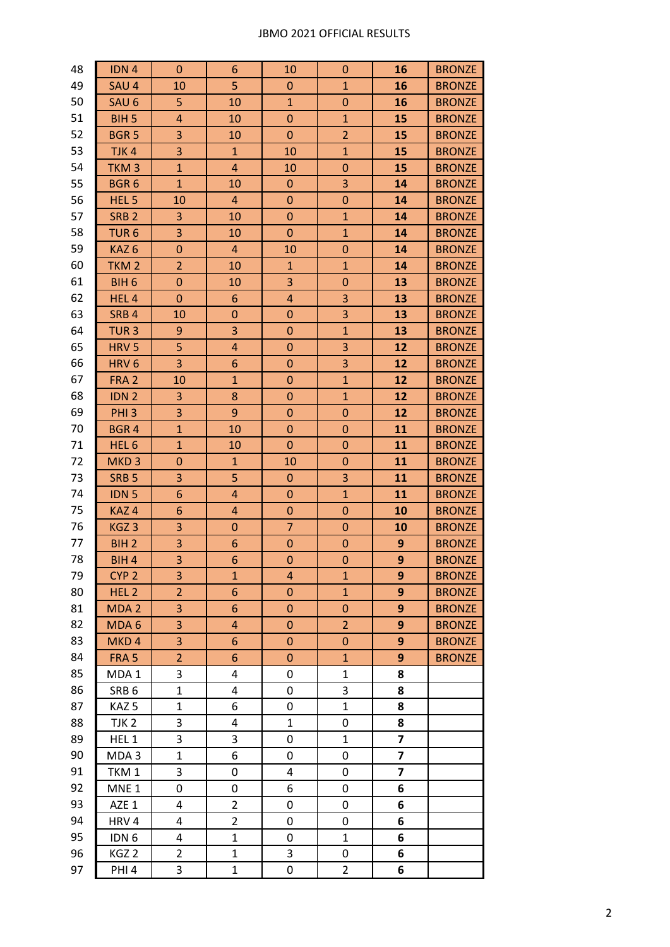## JBMO 2021 OFFICIAL RESULTS

| 48 | IDN <sub>4</sub> | $\mathbf{0}$            | 6              | 10               | $\mathbf 0$      | 16 | <b>BRONZE</b> |
|----|------------------|-------------------------|----------------|------------------|------------------|----|---------------|
| 49 | SAU 4            | 10                      | 5              | $\mathbf 0$      | $\mathbf{1}$     | 16 | <b>BRONZE</b> |
| 50 | SAU <sub>6</sub> | 5                       | 10             | $\mathbf{1}$     | $\mathbf 0$      | 16 | <b>BRONZE</b> |
| 51 | BIH <sub>5</sub> | $\overline{\mathbf{4}}$ | 10             | $\boldsymbol{0}$ | $\mathbf{1}$     | 15 | <b>BRONZE</b> |
| 52 | <b>BGR5</b>      | 3                       | 10             | $\mathbf{0}$     | $\overline{2}$   | 15 | <b>BRONZE</b> |
| 53 | TJK <sub>4</sub> | 3                       | $\mathbf{1}$   | 10               | $\mathbf{1}$     | 15 | <b>BRONZE</b> |
| 54 | TKM <sub>3</sub> | $\mathbf{1}$            | $\overline{4}$ | 10               | $\mathbf 0$      | 15 | <b>BRONZE</b> |
| 55 | BGR <sub>6</sub> | $\mathbf{1}$            | 10             | $\mathbf{0}$     | 3                | 14 | <b>BRONZE</b> |
| 56 | HEL <sub>5</sub> | 10                      | $\overline{a}$ | $\pmb{0}$        | $\boldsymbol{0}$ | 14 | <b>BRONZE</b> |
| 57 | SRB <sub>2</sub> | 3                       | 10             | $\boldsymbol{0}$ | $\mathbf{1}$     | 14 | <b>BRONZE</b> |
| 58 | TUR <sub>6</sub> | 3                       | 10             | $\boldsymbol{0}$ | $\mathbf{1}$     | 14 | <b>BRONZE</b> |
| 59 | KAZ <sub>6</sub> | $\mathbf 0$             | $\overline{a}$ | 10               | $\mathbf 0$      | 14 | <b>BRONZE</b> |
| 60 | TKM <sub>2</sub> | $\overline{2}$          | 10             | $\mathbf{1}$     | $\mathbf{1}$     | 14 | <b>BRONZE</b> |
| 61 | BIH <sub>6</sub> | $\pmb{0}$               | 10             | 3                | $\boldsymbol{0}$ | 13 | <b>BRONZE</b> |
| 62 | HEL <sub>4</sub> | $\mathbf{0}$            | 6              | $\overline{4}$   | 3                | 13 | <b>BRONZE</b> |
| 63 | SRB <sub>4</sub> | 10                      | $\pmb{0}$      | $\mathbf 0$      | 3                | 13 | <b>BRONZE</b> |
| 64 | TUR <sub>3</sub> | 9                       | 3              | $\boldsymbol{0}$ | $\mathbf{1}$     | 13 | <b>BRONZE</b> |
| 65 | HRV <sub>5</sub> | 5                       | 4              | $\mathbf 0$      | 3                | 12 | <b>BRONZE</b> |
| 66 | HRV <sub>6</sub> | 3                       | 6              | $\mathbf 0$      | 3                | 12 | <b>BRONZE</b> |
| 67 | FRA <sub>2</sub> | 10                      | $\mathbf{1}$   | $\mathbf 0$      | $\mathbf{1}$     | 12 | <b>BRONZE</b> |
| 68 | IDN <sub>2</sub> | 3                       | 8              | $\mathbf 0$      | $\mathbf 1$      | 12 | <b>BRONZE</b> |
| 69 | PHI <sub>3</sub> | 3                       | 9              | $\boldsymbol{0}$ | $\mathbf 0$      | 12 | <b>BRONZE</b> |
| 70 | <b>BGR4</b>      | $\mathbf{1}$            | 10             | $\mathbf 0$      | $\mathbf 0$      | 11 | <b>BRONZE</b> |
| 71 | HEL <sub>6</sub> | $\mathbf{1}$            | 10             | $\mathbf 0$      | $\mathbf 0$      | 11 | <b>BRONZE</b> |
| 72 | MKD <sub>3</sub> | $\mathbf 0$             | $\mathbf{1}$   | 10               | $\mathbf{0}$     | 11 | <b>BRONZE</b> |
| 73 | SRB <sub>5</sub> | 3                       | 5              | $\mathbf{0}$     | 3                | 11 | <b>BRONZE</b> |
| 74 | IDN <sub>5</sub> | 6                       | 4              | $\mathbf{0}$     | $\mathbf{1}$     | 11 | <b>BRONZE</b> |
| 75 | KAZ <sub>4</sub> | 6                       | 4              | $\boldsymbol{0}$ | $\boldsymbol{0}$ | 10 | <b>BRONZE</b> |
| 76 | KGZ <sub>3</sub> | 3                       | $\mathbf 0$    | $\overline{7}$   | $\mathbf 0$      | 10 | <b>BRONZE</b> |
| 77 | BIH <sub>2</sub> | 3                       | 6              | $\pmb{0}$        | $\boldsymbol{0}$ | 9  | <b>BRONZE</b> |
| 78 | BIH <sub>4</sub> | 3                       | 6              | $\mathbf 0$      | $\boldsymbol{0}$ | 9  | <b>BRONZE</b> |
| 79 | CYP <sub>2</sub> | 3                       | $\mathbf{1}$   | 4                | $\mathbf{1}$     | 9  | <b>BRONZE</b> |
| 80 | HEL <sub>2</sub> | $\overline{2}$          | 6              | $\mathbf 0$      | $\mathbf{1}$     | 9  | <b>BRONZE</b> |
| 81 | MDA <sub>2</sub> | 3                       | 6              | $\boldsymbol{0}$ | $\mathbf 0$      | 9  | <b>BRONZE</b> |
| 82 | MDA <sub>6</sub> | 3                       | 4              | $\boldsymbol{0}$ | $\overline{2}$   | 9  | <b>BRONZE</b> |
| 83 | MKD <sub>4</sub> | 3                       | 6              | $\mathbf 0$      | $\mathbf 0$      | 9  | <b>BRONZE</b> |
| 84 | FRA <sub>5</sub> | $\overline{2}$          | 6              | 0                | $\mathbf{1}$     | 9  | <b>BRONZE</b> |
| 85 | MDA <sub>1</sub> | 3                       | 4              | 0                | 1                | 8  |               |
| 86 | SRB <sub>6</sub> | $\mathbf{1}$            | 4              | 0                | 3                | 8  |               |
| 87 | KAZ <sub>5</sub> | 1                       | 6              | 0                | $\mathbf 1$      | 8  |               |
| 88 | TJK <sub>2</sub> | 3                       | 4              | $\mathbf{1}$     | 0                | 8  |               |
| 89 | HEL <sub>1</sub> | 3                       | 3              | 0                | $\mathbf{1}$     | 7  |               |
| 90 | MDA 3            | 1                       | 6              | 0                | 0                | 7  |               |
| 91 | TKM <sub>1</sub> | 3                       | 0              | 4                | 0                | 7  |               |
| 92 | MNE <sub>1</sub> | 0                       | 0              | 6                | 0                | 6  |               |
| 93 | AZE 1            | 4                       | $\overline{2}$ | 0                | 0                | 6  |               |
| 94 | HRV4             | 4                       | $\overline{2}$ | 0                | 0                | 6  |               |
| 95 | IDN <sub>6</sub> | 4                       | $\mathbf{1}$   | 0                | $\mathbf{1}$     | 6  |               |
| 96 | KGZ <sub>2</sub> | $\overline{2}$          | $\mathbf{1}$   | 3                | 0                | 6  |               |
| 97 | PHI <sub>4</sub> | 3                       | $\mathbf{1}$   | 0                | $\overline{2}$   | 6  |               |